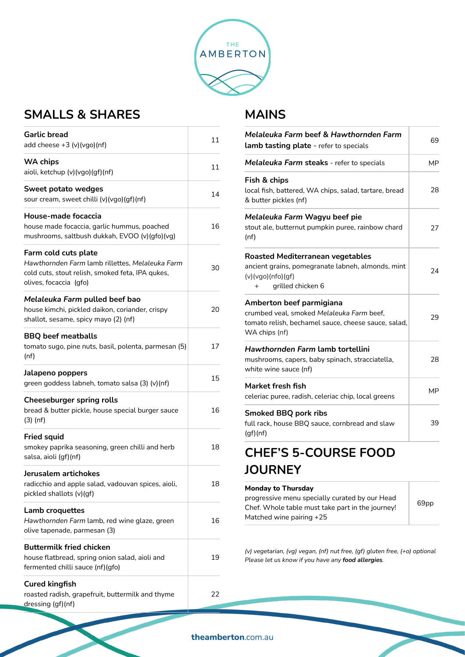

## **SMALLS & SHARES**

| <b>Garlic bread</b><br>add cheese $+3$ (v)(vgo)(nf)                                                                                                   | 11 |
|-------------------------------------------------------------------------------------------------------------------------------------------------------|----|
| <b>WA chips</b><br>aioli, ketchup (v)(vgo)(gf)(nf)                                                                                                    | 11 |
| Sweet potato wedges<br>sour cream, sweet chilli (v)(vgo)(gf)(nf)                                                                                      | 14 |
| House-made focaccia<br>house made focaccia, garlic hummus, poached<br>mushrooms, saltbush dukkah, EVOO (v)(gfo)(vg)                                   | 16 |
| Farm cold cuts plate<br>Hawthornden Farm lamb rillettes, Melaleuka Farm<br>cold cuts, stout relish, smoked feta, IPA qukes,<br>olives, focaccia (gfo) | 30 |
| Melaleuka Farm pulled beef bao<br>house kimchi, pickled daikon, coriander, crispy<br>shallot, sesame, spicy mayo (2) (nf)                             | 20 |
| <b>BBQ</b> beef meatballs<br>tomato sugo, pine nuts, basil, polenta, parmesan (5)<br>(nf)                                                             | 17 |
| Jalapeno poppers<br>green goddess labneh, tomato salsa (3) (v)(nf)                                                                                    | 15 |
| <b>Cheeseburger spring rolls</b><br>bread & butter pickle, house special burger sauce<br>$(3)$ (nf)                                                   | 16 |
| <b>Fried squid</b><br>smokey paprika seasoning, green chilli and herb<br>salsa, aioli (gf)(nf)                                                        | 18 |
| Jerusalem artichokes<br>radicchio and apple salad, vadouvan spices, aioli,<br>pickled shallots (v)(gf)                                                | 18 |
| Lamb croquettes<br>Hawthornden Farm lamb, red wine glaze, green<br>olive tapenade, parmesan (3)                                                       | 16 |
| <b>Buttermilk fried chicken</b><br>house flatbread, spring onion salad, aioli and<br>fermented chilli sauce (nf)(gfo)                                 | 19 |
| <b>Cured kingfish</b><br>roasted radish, grapefruit, buttermilk and thyme<br>dressing (gf)(nf)                                                        | 22 |

#### **MAINS**

| Melaleuka Farm beef & Hawthornden Farm<br>lamb tasting plate - refer to specials                                                              | 69        |
|-----------------------------------------------------------------------------------------------------------------------------------------------|-----------|
| <b>Melaleuka Farm steaks</b> - refer to specials                                                                                              | <b>MP</b> |
| Fish & chips<br>local fish, battered, WA chips, salad, tartare, bread<br>& butter pickles (nf)                                                | 28        |
| Melaleuka Farm Wagyu beef pie<br>stout ale, butternut pumpkin puree, rainbow chard<br>(nf)                                                    | 27        |
| Roasted Mediterranean vegetables<br>ancient grains, pomegranate labneh, almonds, mint<br>(v)(vgo)(nfo)(gf)<br>grilled chicken 6<br>$^{+}$     | 24        |
| Amberton beef parmigiana<br>crumbed veal, smoked Melaleuka Farm beef,<br>tomato relish, bechamel sauce, cheese sauce, salad,<br>WA chips (nf) | 29        |
| Hawthornden Farm lamb tortellini<br>mushrooms, capers, baby spinach, stracciatella,<br>white wine sauce (nf)                                  | 28        |
| Market fresh fish<br>celeriac puree, radish, celeriac chip, local greens                                                                      | МP        |
| <b>Smoked BBQ pork ribs</b><br>full rack, house BBQ sauce, cornbread and slaw<br>(gf)(nf)                                                     | 39        |
| HEF'S 5-COURSE FOOD                                                                                                                           |           |

# **CHEF'S 5-COURSE FOOD JOURNEY**

#### **Monday to Thursday**  progressive menu specially curated by our Head Chef. Whole table must take part in the journey! Matched wine pairing +25

*(v) vegetarian, (vg) vegan, (nf) nut free, (gf) gluten free, (+o) optional Please let us know if you have any food allergies.*

69pp

**theamberton**.com.au